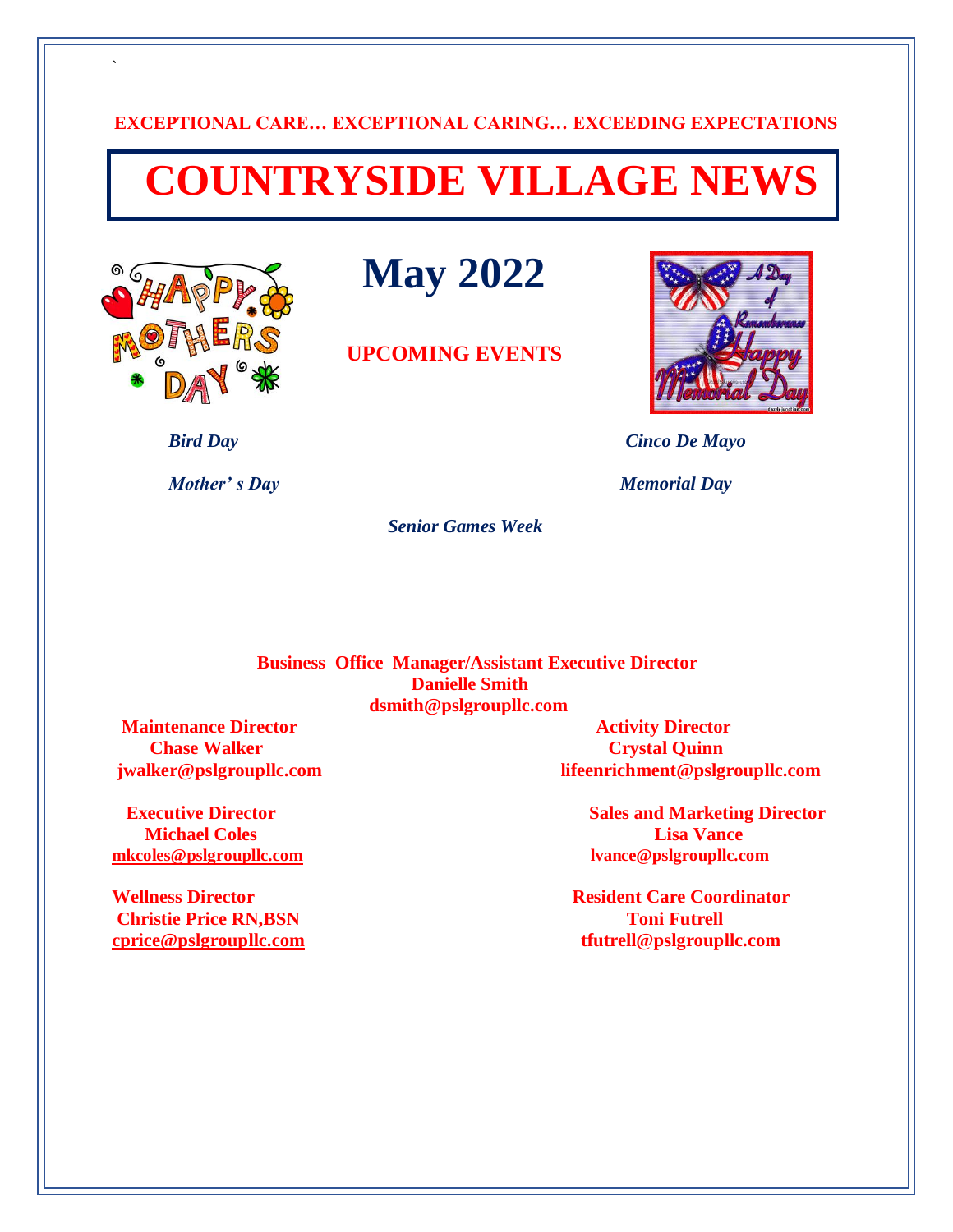## **EXCEPTIONAL CARE… EXCEPTIONAL CARING… EXCEEDING EXPECTATIONS**

## **COUNTRYSIDE VILLAGE NEWS**



`

 **May 2022**

 **UPCOMING EVENTS**



 *Bird Day Cinco De Mayo* 

*Mother's Day Memorial Day* 

 *Senior Games Week* 

 **Business Office Manager/Assistant Executive Director Danielle Smith dsmith@pslgroupllc.com**

 **Maintenance Director Activity Director Chase Walker Crystal Quinn**  Crystal Quinn **Crystal Quinn** 

**Michael Coles Lisa Vance [mkcoles@pslgroupllc.com](mailto:mkcoles@pslgroupllc.com) lvance@pslgroupllc.com**

**Christie Price RN,BSN TONI FUTRELL TONI FUTRELL TONI FUTRELL** 

**jwalker@pslgroupllc.com lifeenrichment@pslgroupllc.com**

**Executive Director** Sales and Marketing Director

**Wellness Director Resident Care Coordinator [cprice@pslgroupllc.com](mailto:cprice@pslgroupllc.com) tfutrell@pslgroupllc.com**